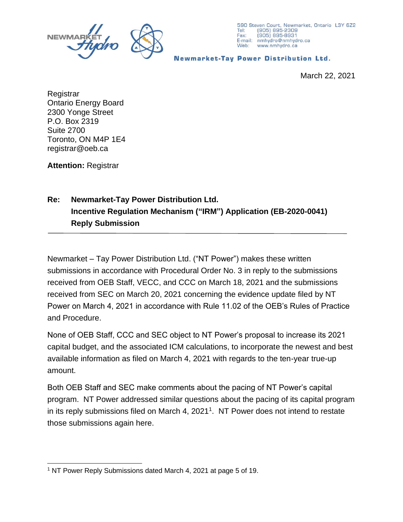



**Newmarket-Tay Power Distribution Ltd.** 

March 22, 2021

Registrar Ontario Energy Board 2300 Yonge Street P.O. Box 2319 Suite 2700 Toronto, ON M4P 1E4 registrar@oeb.ca

**Attention:** Registrar

## **Re: Newmarket-Tay Power Distribution Ltd. Incentive Regulation Mechanism ("IRM") Application (EB-2020-0041) Reply Submission**

Newmarket – Tay Power Distribution Ltd. ("NT Power") makes these written submissions in accordance with Procedural Order No. 3 in reply to the submissions received from OEB Staff, VECC, and CCC on March 18, 2021 and the submissions received from SEC on March 20, 2021 concerning the evidence update filed by NT Power on March 4, 2021 in accordance with Rule 11.02 of the OEB's Rules of Practice and Procedure.

None of OEB Staff, CCC and SEC object to NT Power's proposal to increase its 2021 capital budget, and the associated ICM calculations, to incorporate the newest and best available information as filed on March 4, 2021 with regards to the ten-year true-up amount.

Both OEB Staff and SEC make comments about the pacing of NT Power's capital program. NT Power addressed similar questions about the pacing of its capital program in its reply submissions filed on March 4, 2021<sup>1</sup>. NT Power does not intend to restate those submissions again here.

<sup>&</sup>lt;sup>1</sup> NT Power Reply Submissions dated March 4, 2021 at page 5 of 19.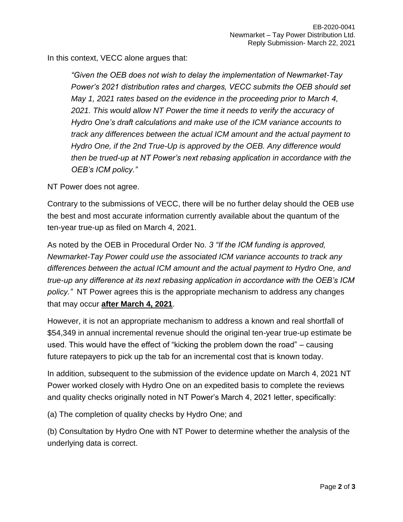In this context, VECC alone argues that:

*"Given the OEB does not wish to delay the implementation of Newmarket-Tay Power's 2021 distribution rates and charges, VECC submits the OEB should set May 1, 2021 rates based on the evidence in the proceeding prior to March 4, 2021. This would allow NT Power the time it needs to verify the accuracy of Hydro One's draft calculations and make use of the ICM variance accounts to track any differences between the actual ICM amount and the actual payment to Hydro One, if the 2nd True-Up is approved by the OEB. Any difference would then be trued-up at NT Power's next rebasing application in accordance with the OEB's ICM policy."*

NT Power does not agree.

Contrary to the submissions of VECC, there will be no further delay should the OEB use the best and most accurate information currently available about the quantum of the ten-year true-up as filed on March 4, 2021.

As noted by the OEB in Procedural Order No. *3 "If the ICM funding is approved, Newmarket-Tay Power could use the associated ICM variance accounts to track any differences between the actual ICM amount and the actual payment to Hydro One, and true-up any difference at its next rebasing application in accordance with the OEB's ICM policy."* NT Power agrees this is the appropriate mechanism to address any changes that may occur **after March 4, 2021**.

However, it is not an appropriate mechanism to address a known and real shortfall of \$54,349 in annual incremental revenue should the original ten-year true-up estimate be used. This would have the effect of "kicking the problem down the road" – causing future ratepayers to pick up the tab for an incremental cost that is known today.

In addition, subsequent to the submission of the evidence update on March 4, 2021 NT Power worked closely with Hydro One on an expedited basis to complete the reviews and quality checks originally noted in NT Power's March 4, 2021 letter, specifically:

(a) The completion of quality checks by Hydro One; and

(b) Consultation by Hydro One with NT Power to determine whether the analysis of the underlying data is correct.